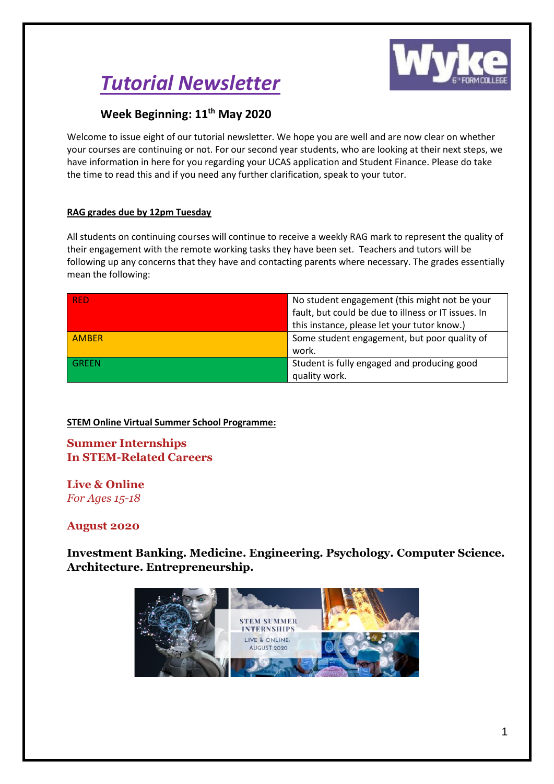

# *Tutorial Newsletter*

## **Week Beginning: 11th May 2020**

Welcome to issue eight of our tutorial newsletter. We hope you are well and are now clear on whether your courses are continuing or not. For our second year students, who are looking at their next steps, we have information in here for you regarding your UCAS application and Student Finance. Please do take the time to read this and if you need any further clarification, speak to your tutor.

## **RAG grades due by 12pm Tuesday**

All students on continuing courses will continue to receive a weekly RAG mark to represent the quality of their engagement with the remote working tasks they have been set. Teachers and tutors will be following up any concerns that they have and contacting parents where necessary. The grades essentially mean the following:

| <b>RED</b>   | No student engagement (this might not be your       |  |
|--------------|-----------------------------------------------------|--|
|              | fault, but could be due to illness or IT issues. In |  |
|              | this instance, please let your tutor know.)         |  |
| <b>AMBER</b> | Some student engagement, but poor quality of        |  |
|              | work.                                               |  |
| GREEN        | Student is fully engaged and producing good         |  |
|              | quality work.                                       |  |

## **STEM Online Virtual Summer School Programme:**

## **Summer Internships In STEM-Related Careers**

## **Live & Online**

*For Ages 15-18*

## **August 2020**

**Investment Banking. Medicine. Engineering. Psychology. Computer Science. Architecture. Entrepreneurship.**

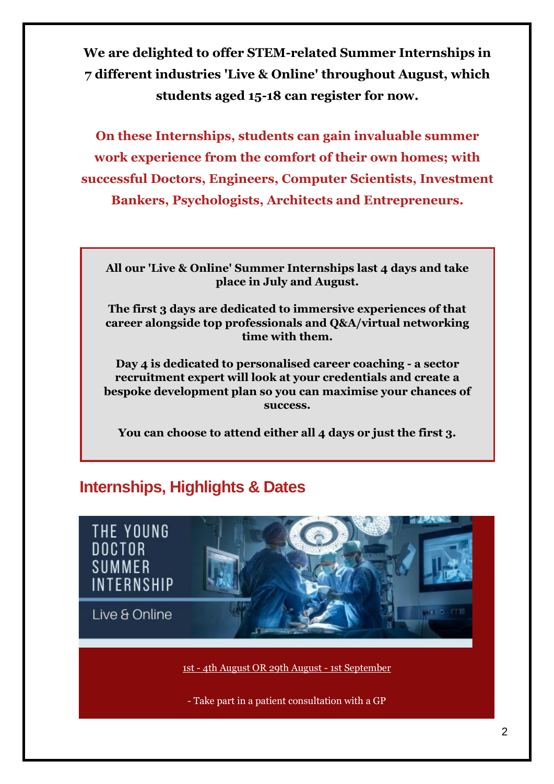**We are delighted to offer STEM-related Summer Internships in 7 different industries 'Live & Online' throughout August, which students aged 15-18 can register for now.** 

**On these Internships, students can gain invaluable summer work experience from the comfort of their own homes; with successful Doctors, Engineers, Computer Scientists, Investment Bankers, Psychologists, Architects and Entrepreneurs.** 

**All our 'Live & Online' Summer Internships last 4 days and take place in July and August.**

**The first 3 days are dedicated to immersive experiences of that career alongside top professionals and Q&A/virtual networking time with them.**

**Day 4 is dedicated to personalised career coaching - a sector recruitment expert will look at your credentials and create a bespoke development plan so you can maximise your chances of success.**

**You can choose to attend either all 4 days or just the first 3.** 

# **Internships, Highlights & Dates**



1st - 4th August OR 29th August - 1st September

- Take part in a patient consultation with a GP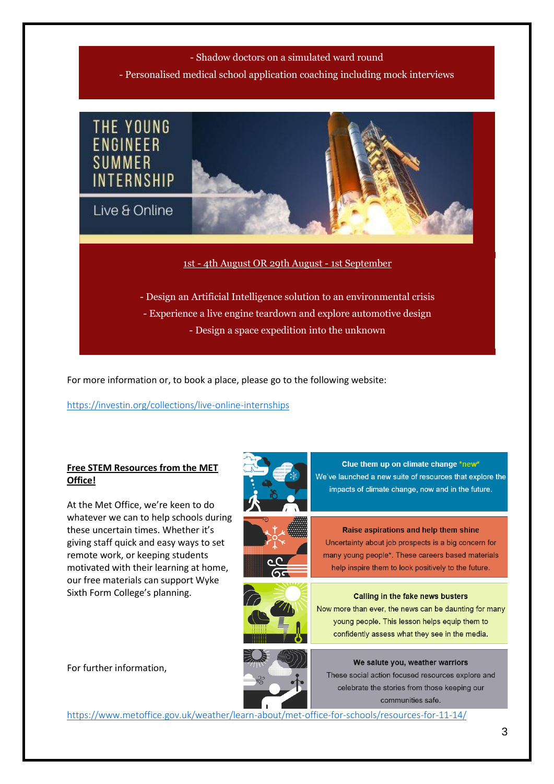## - Shadow doctors on a simulated ward round

- Personalised medical school application coaching including mock interviews



For more information or, to book a place, please go to the following website:

<https://investin.org/collections/live-online-internships>

## **Free STEM Resources from the MET Office!**

At the Met Office, we're keen to do whatever we can to help schools during these uncertain times. Whether it's giving staff quick and easy ways to set remote work, or keeping students motivated with their learning at home, our free materials can support Wyke Sixth Form College's planning.







Clue them up on climate change \*new\* We've launched a new suite of resources that explore the impacts of climate change, now and in the future.

Raise aspirations and help them shine Uncertainty about job prospects is a big concern for many young people\*. These careers based materials help inspire them to look positively to the future.

#### Calling in the fake news busters

Now more than ever, the news can be daunting for many young people. This lesson helps equip them to confidently assess what they see in the media.



We salute you, weather warriors These social action focused resources explore and celebrate the stories from those keeping our communities safe.

<https://www.metoffice.gov.uk/weather/learn-about/met-office-for-schools/resources-for-11-14/>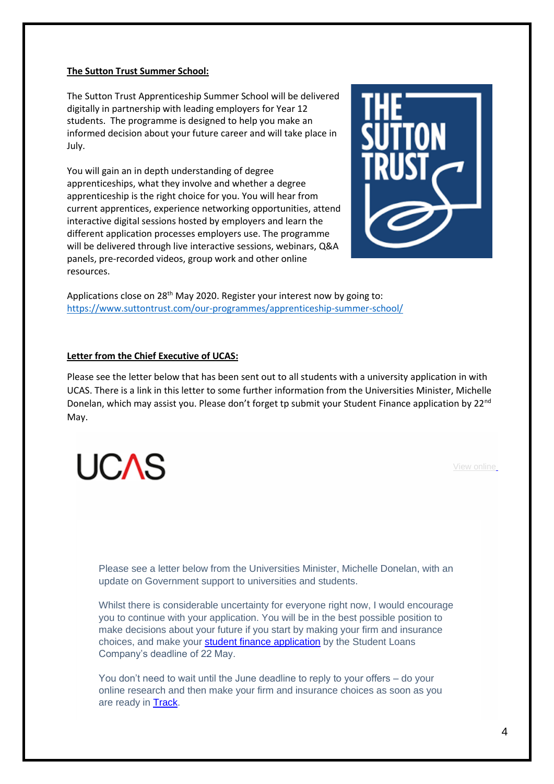## **The Sutton Trust Summer School:**

The Sutton Trust Apprenticeship Summer School will be delivered digitally in partnership with leading employers for Year 12 students. The programme is designed to help you make an informed decision about your future career and will take place in July.

You will gain an in depth understanding of degree apprenticeships, what they involve and whether a degree apprenticeship is the right choice for you. You will hear from current apprentices, experience networking opportunities, attend interactive digital sessions hosted by employers and learn the different application processes employers use. The programme will be delivered through live interactive sessions, webinars, Q&A panels, pre-recorded videos, group work and other online resources.



Applications close on 28<sup>th</sup> May 2020. Register your interest now by going to: <https://www.suttontrust.com/our-programmes/apprenticeship-summer-school/>

## **Letter from the Chief Executive of UCAS:**

Please see the letter below that has been sent out to all students with a university application in with UCAS. There is a link in this letter to some further information from the Universities Minister, Michelle Donelan, which may assist you. Please don't forget tp submit your Student Finance application by 22<sup>nd</sup> May.



Please see a letter below from the Universities Minister, Michelle Donelan, with an update on Government support to universities and students.

Whilst there is considerable uncertainty for everyone right now, I would encourage you to continue with your application. You will be in the best possible position to make decisions about your future if you start by making your firm and insurance choices, and make your **[student finance application](https://click.email.ucas.com/?qs=fad9acbe61bcd99dcea8c80a46a4f98d458fbd5c8a0fe4871db29883f08562763a3e77bc931bd4d40c39d942e8099adfd65b320e4a046fb9)** by the Student Loans Company's deadline of 22 May.

You don't need to wait until the June deadline to reply to your offers – do your online research and then make your firm and insurance choices as soon as you are ready in [Track.](https://click.email.ucas.com/?qs=fad9acbe61bcd99d3904125d89e7745b2b7d1b4288814b56b8fbbc42e465aa8a791d1a04910c97ed738af0db20f2c227e673b3d2a882f705)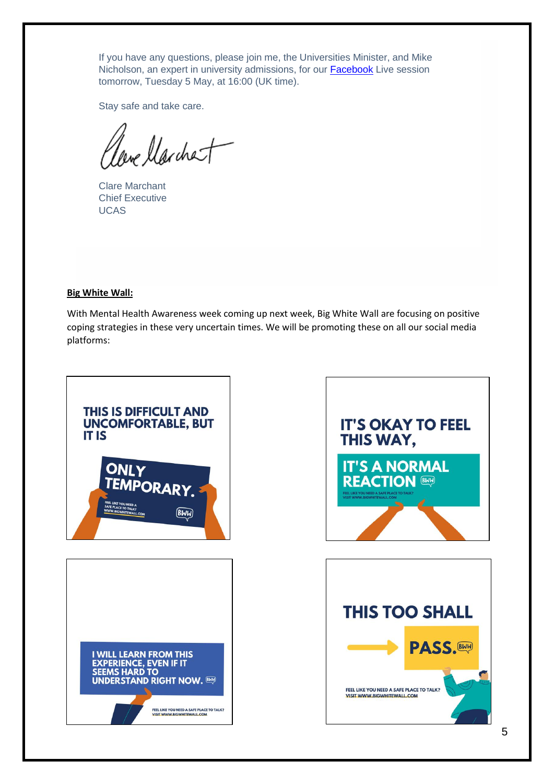If you have any questions, please join me, the Universities Minister, and Mike Nicholson, an expert in university admissions, for our [Facebook](https://click.email.ucas.com/?qs=fad9acbe61bcd99ddd1ae38565e37f716f7b691878de3bb3503d6bd9e0677fa403ee169c2c5ff913e943863c4b84eae43ccedca6e96615be) Live session tomorrow, Tuesday 5 May, at 16:00 (UK time).

Stay safe and take care.

leve llarchet

Clare Marchant Chief Executive UCAS

## **Big White Wall:**

With Mental Health Awareness week coming up next week, Big White Wall are focusing on positive coping strategies in these very uncertain times. We will be promoting these on all our social media platforms:

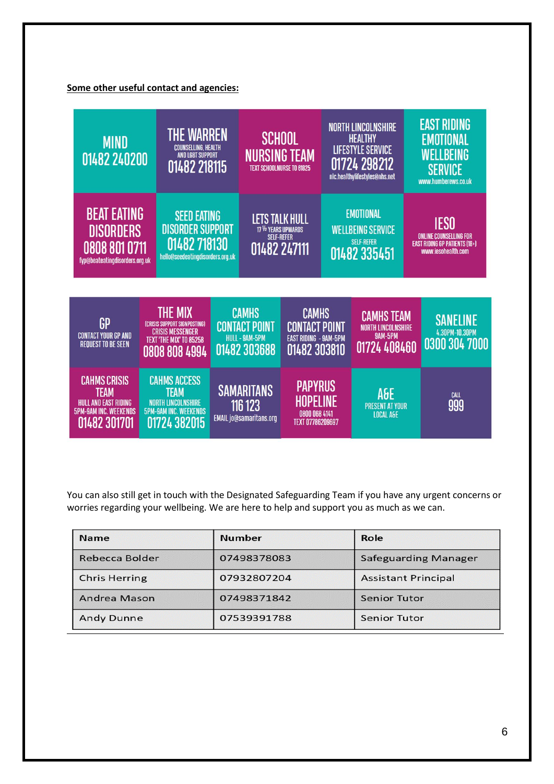## **Some other useful contact and agencies:**



You can also still get in touch with the Designated Safeguarding Team if you have any urgent concerns or worries regarding your wellbeing. We are here to help and support you as much as we can.

| <b>Name</b>          | <b>Number</b> | Role                        |
|----------------------|---------------|-----------------------------|
| Rebecca Bolder       | 07498378083   | <b>Safeguarding Manager</b> |
| <b>Chris Herring</b> | 07932807204   | <b>Assistant Principal</b>  |
| Andrea Mason         | 07498371842   | <b>Senior Tutor</b>         |
| <b>Andy Dunne</b>    | 07539391788   | <b>Senior Tutor</b>         |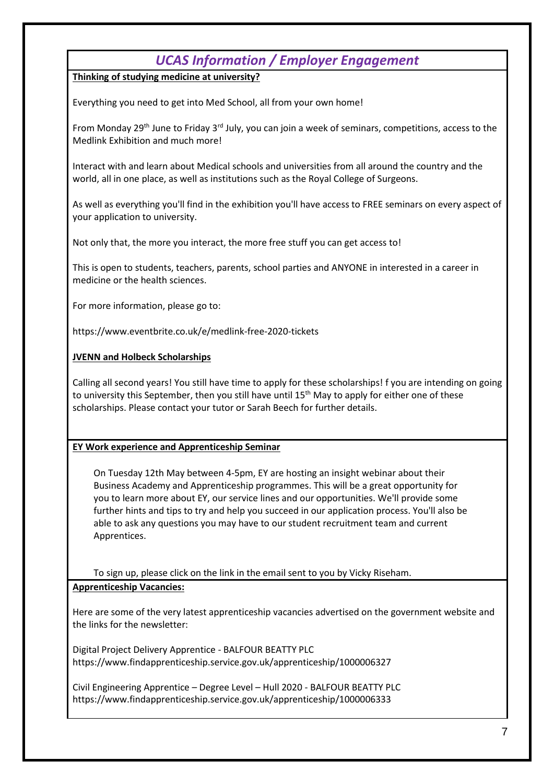# *UCAS Information / Employer Engagement*

**Thinking of studying medicine at university?**

Everything you need to get into Med School, all from your own home!

From Monday 29th June to Friday 3rd July, you can join a week of seminars, competitions, access to the Medlink Exhibition and much more!

Interact with and learn about Medical schools and universities from all around the country and the world, all in one place, as well as institutions such as the Royal College of Surgeons.

As well as everything you'll find in the exhibition you'll have access to FREE seminars on every aspect of your application to university.

Not only that, the more you interact, the more free stuff you can get access to!

This is open to students, teachers, parents, school parties and ANYONE in interested in a career in medicine or the health sciences.

For more information, please go to:

https://www.eventbrite.co.uk/e/medlink-free-2020-tickets

## **JVENN and Holbeck Scholarships**

Calling all second years! You still have time to apply for these scholarships! f you are intending on going to university this September, then you still have until 15<sup>th</sup> May to apply for either one of these scholarships. Please contact your tutor or Sarah Beech for further details.

## **EY Work experience and Apprenticeship Seminar**

On Tuesday 12th May between 4-5pm, EY are hosting an insight webinar about their Business Academy and Apprenticeship programmes. This will be a great opportunity for you to learn more about EY, our service lines and our opportunities. We'll provide some further hints and tips to try and help you succeed in our application process. You'll also be able to ask any questions you may have to our student recruitment team and current Apprentices.

To sign up, please click on the link in the email sent to you by Vicky Riseham.

## **Apprenticeship Vacancies:**

Here are some of the very latest apprenticeship vacancies advertised on the government website and the links for the newsletter:

Digital Project Delivery Apprentice - BALFOUR BEATTY PLC https://www.findapprenticeship.service.gov.uk/apprenticeship/1000006327

Civil Engineering Apprentice – Degree Level – Hull 2020 - BALFOUR BEATTY PLC https://www.findapprenticeship.service.gov.uk/apprenticeship/1000006333